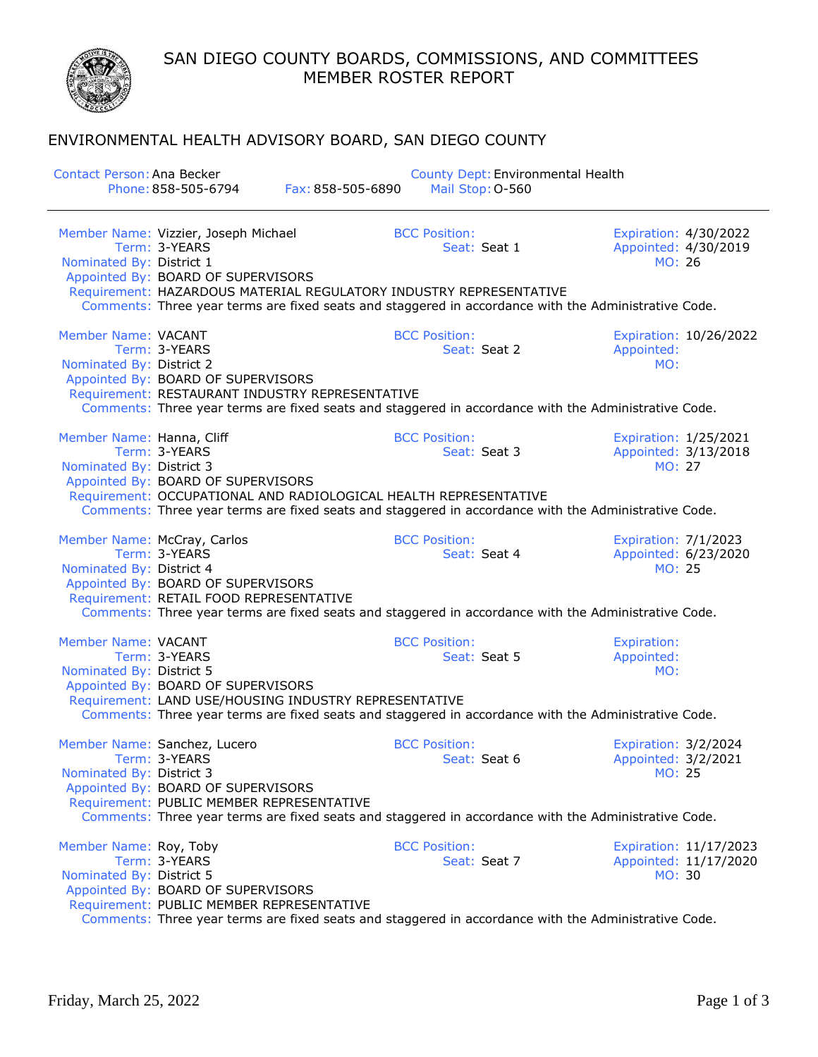SAN DIEGO COUNTY BOARDS, COMMISSIONS, AND COMMITTEES MEMBER ROSTER REPORT

## ENVIRONMENTAL HEALTH ADVISORY BOARD, SAN DIEGO COUNTY

| <b>Contact Person: Ana Becker</b>                      | Phone: 858-505-6794<br>Fax: 858-505-6890                                                                                                                                                                                                 | County Dept: Environmental Health<br>Mail Stop: 0-560 |                                                                      |
|--------------------------------------------------------|------------------------------------------------------------------------------------------------------------------------------------------------------------------------------------------------------------------------------------------|-------------------------------------------------------|----------------------------------------------------------------------|
| Nominated By: District 1                               | Member Name: Vizzier, Joseph Michael<br>Term: 3-YEARS<br>Appointed By: BOARD OF SUPERVISORS<br>Requirement: HAZARDOUS MATERIAL REGULATORY INDUSTRY REPRESENTATIVE                                                                        | <b>BCC Position:</b><br>Seat: Seat 1                  | Expiration: 4/30/2022<br>Appointed: 4/30/2019<br>MO: 26              |
|                                                        | Comments: Three year terms are fixed seats and staggered in accordance with the Administrative Code.                                                                                                                                     |                                                       |                                                                      |
| Member Name: VACANT<br>Nominated By: District 2        | Term: 3-YEARS<br>Appointed By: BOARD OF SUPERVISORS<br>Requirement: RESTAURANT INDUSTRY REPRESENTATIVE<br>Comments: Three year terms are fixed seats and staggered in accordance with the Administrative Code.                           | <b>BCC Position:</b><br>Seat: Seat 2                  | Expiration: 10/26/2022<br>Appointed:<br>MO:                          |
| Member Name: Hanna, Cliff<br>Nominated By: District 3  | Term: 3-YEARS<br>Appointed By: BOARD OF SUPERVISORS<br>Requirement: OCCUPATIONAL AND RADIOLOGICAL HEALTH REPRESENTATIVE<br>Comments: Three year terms are fixed seats and staggered in accordance with the Administrative Code.          | <b>BCC Position:</b><br>Seat: Seat 3                  | Expiration: 1/25/2021<br>Appointed: 3/13/2018<br><b>MO: 27</b>       |
| Nominated By: District 4                               | Member Name: McCray, Carlos<br>Term: 3-YEARS<br>Appointed By: BOARD OF SUPERVISORS<br>Requirement: RETAIL FOOD REPRESENTATIVE<br>Comments: Three year terms are fixed seats and staggered in accordance with the Administrative Code.    | <b>BCC Position:</b><br>Seat: Seat 4                  | <b>Expiration: 7/1/2023</b><br>Appointed: 6/23/2020<br><b>MO: 25</b> |
| <b>Member Name: VACANT</b><br>Nominated By: District 5 | Term: 3-YEARS<br>Appointed By: BOARD OF SUPERVISORS<br>Requirement: LAND USE/HOUSING INDUSTRY REPRESENTATIVE<br>Comments: Three year terms are fixed seats and staggered in accordance with the Administrative Code.                     | <b>BCC Position:</b><br>Seat: Seat 5                  | <b>Expiration:</b><br>Appointed:<br>MO:                              |
| Nominated By: District 3                               | Member Name: Sanchez, Lucero<br>Term: 3-YEARS<br>Appointed By: BOARD OF SUPERVISORS<br>Requirement: PUBLIC MEMBER REPRESENTATIVE<br>Comments: Three year terms are fixed seats and staggered in accordance with the Administrative Code. | <b>BCC Position:</b><br>Seat: Seat 6                  | Expiration: 3/2/2024<br>Appointed: 3/2/2021<br>MO: 25                |
| Member Name: Roy, Toby<br>Nominated By: District 5     | Term: 3-YEARS<br>Appointed By: BOARD OF SUPERVISORS<br>Requirement: PUBLIC MEMBER REPRESENTATIVE<br>Comments: Three year terms are fixed seats and staggered in accordance with the Administrative Code.                                 | <b>BCC Position:</b><br>Seat: Seat 7                  | Expiration: 11/17/2023<br>Appointed: 11/17/2020<br>MO: 30            |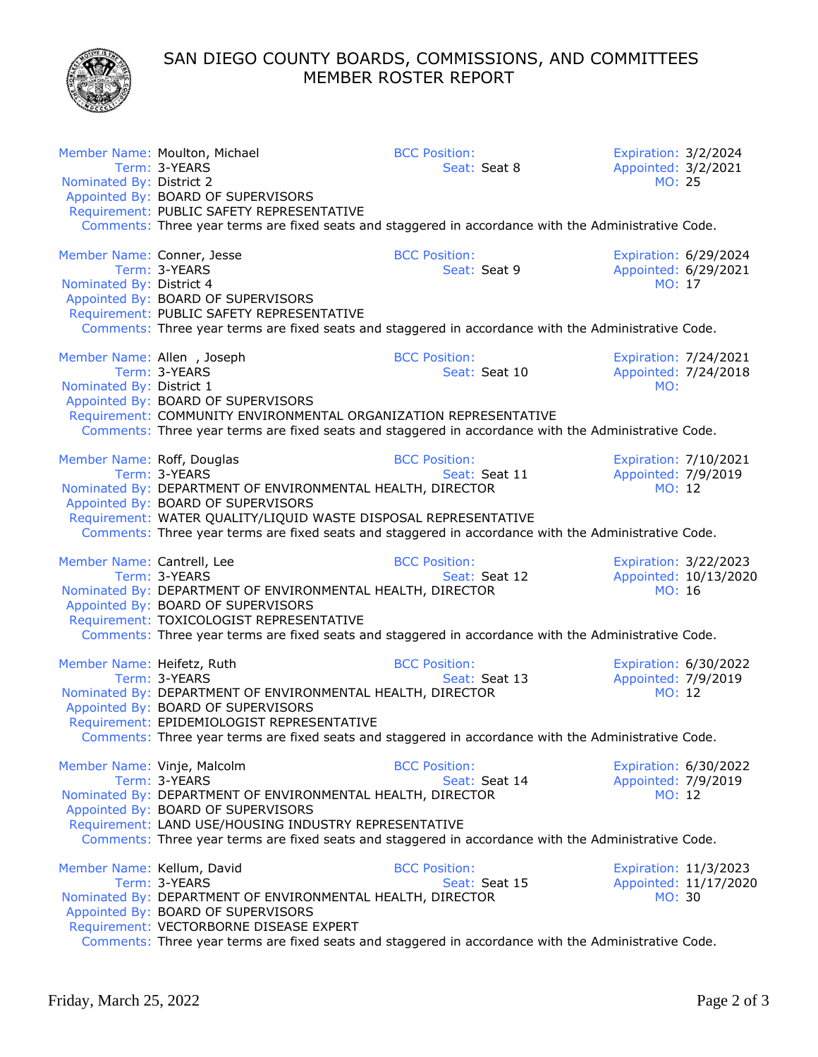SAN DIEGO COUNTY BOARDS, COMMISSIONS, AND COMMITTEES MEMBER ROSTER REPORT



| Nominated By: District 2                               | Member Name: Moulton, Michael<br>Term: 3-YEARS                                                                                                                                                                                                                                     | <b>BCC Position:</b><br>Seat: Seat 8  | Expiration: 3/2/2024<br>Appointed: 3/2/2021<br>MO: 25  |                                                |
|--------------------------------------------------------|------------------------------------------------------------------------------------------------------------------------------------------------------------------------------------------------------------------------------------------------------------------------------------|---------------------------------------|--------------------------------------------------------|------------------------------------------------|
|                                                        | Appointed By: BOARD OF SUPERVISORS<br>Requirement: PUBLIC SAFETY REPRESENTATIVE                                                                                                                                                                                                    |                                       |                                                        |                                                |
|                                                        | Comments: Three year terms are fixed seats and staggered in accordance with the Administrative Code.                                                                                                                                                                               |                                       |                                                        |                                                |
| Member Name: Conner, Jesse<br>Nominated By: District 4 | Term: 3-YEARS<br>Appointed By: BOARD OF SUPERVISORS                                                                                                                                                                                                                                | <b>BCC Position:</b><br>Seat: Seat 9  | MO: 17                                                 | Expiration: 6/29/2024<br>Appointed: 6/29/2021  |
|                                                        | Requirement: PUBLIC SAFETY REPRESENTATIVE<br>Comments: Three year terms are fixed seats and staggered in accordance with the Administrative Code.                                                                                                                                  |                                       |                                                        |                                                |
| Member Name: Allen, Joseph<br>Nominated By: District 1 | Term: 3-YEARS<br>Appointed By: BOARD OF SUPERVISORS                                                                                                                                                                                                                                | <b>BCC Position:</b><br>Seat: Seat 10 | MO:                                                    | Expiration: 7/24/2021<br>Appointed: 7/24/2018  |
|                                                        | Requirement: COMMUNITY ENVIRONMENTAL ORGANIZATION REPRESENTATIVE<br>Comments: Three year terms are fixed seats and staggered in accordance with the Administrative Code.                                                                                                           |                                       |                                                        |                                                |
| Member Name: Roff, Douglas                             | Term: 3-YEARS<br>Nominated By: DEPARTMENT OF ENVIRONMENTAL HEALTH, DIRECTOR<br>Appointed By: BOARD OF SUPERVISORS                                                                                                                                                                  | <b>BCC Position:</b><br>Seat: Seat 11 | Expiration: 7/10/2021<br>Appointed: 7/9/2019<br>MO: 12 |                                                |
|                                                        | Requirement: WATER QUALITY/LIQUID WASTE DISPOSAL REPRESENTATIVE<br>Comments: Three year terms are fixed seats and staggered in accordance with the Administrative Code.                                                                                                            |                                       |                                                        |                                                |
| Member Name: Cantrell, Lee                             | Term: 3-YEARS<br>Nominated By: DEPARTMENT OF ENVIRONMENTAL HEALTH, DIRECTOR<br>Appointed By: BOARD OF SUPERVISORS<br>Requirement: TOXICOLOGIST REPRESENTATIVE<br>Comments: Three year terms are fixed seats and staggered in accordance with the Administrative Code.              | <b>BCC Position:</b><br>Seat: Seat 12 | MO: 16                                                 | Expiration: 3/22/2023<br>Appointed: 10/13/2020 |
| Member Name: Heifetz, Ruth                             | Term: 3-YEARS<br>Nominated By: DEPARTMENT OF ENVIRONMENTAL HEALTH, DIRECTOR<br>Appointed By: BOARD OF SUPERVISORS<br>Requirement: EPIDEMIOLOGIST REPRESENTATIVE<br>Comments: Three year terms are fixed seats and staggered in accordance with the Administrative Code.            | <b>BCC Position:</b><br>Seat: Seat 13 | Appointed: 7/9/2019<br>MO: 12                          | Expiration: 6/30/2022                          |
| Member Name: Vinje, Malcolm                            | Term: 3-YEARS<br>Nominated By: DEPARTMENT OF ENVIRONMENTAL HEALTH, DIRECTOR<br>Appointed By: BOARD OF SUPERVISORS<br>Requirement: LAND USE/HOUSING INDUSTRY REPRESENTATIVE<br>Comments: Three year terms are fixed seats and staggered in accordance with the Administrative Code. | <b>BCC Position:</b><br>Seat: Seat 14 | Expiration: 6/30/2022<br>Appointed: 7/9/2019<br>MO: 12 |                                                |
| Member Name: Kellum, David                             | Term: 3-YEARS<br>Nominated By: DEPARTMENT OF ENVIRONMENTAL HEALTH, DIRECTOR<br>Appointed By: BOARD OF SUPERVISORS<br>Requirement: VECTORBORNE DISEASE EXPERT<br>Comments: Three year terms are fixed seats and staggered in accordance with the Administrative Code.               | <b>BCC Position:</b><br>Seat: Seat 15 | MO: 30                                                 | Expiration: 11/3/2023<br>Appointed: 11/17/2020 |